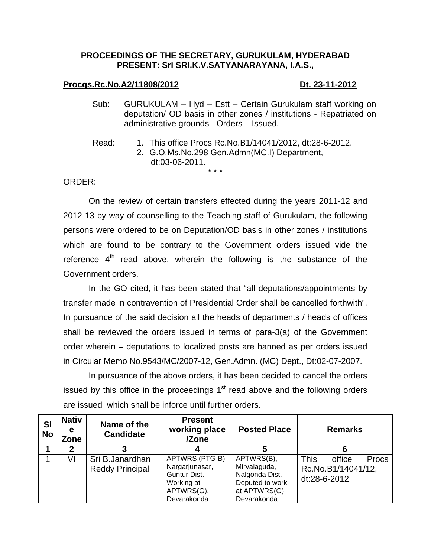# **PROCEEDINGS OF THE SECRETARY, GURUKULAM, HYDERABAD PRESENT: Sri SRI.K.V.SATYANARAYANA, I.A.S.,**

### **Procgs.Rc.No.A2/11808/2012** Dt. 23-11-2012

- Sub: GURUKULAM Hyd Estt Certain Gurukulam staff working on deputation/ OD basis in other zones / institutions - Repatriated on administrative grounds - Orders – Issued.
- Read: 1. This office Procs Rc.No.B1/14041/2012, dt:28-6-2012.
	- 2. G.O.Ms.No.298 Gen.Admn(MC.I) Department, dt:03-06-2011. \* \* \*

# ORDER:

 On the review of certain transfers effected during the years 2011-12 and 2012-13 by way of counselling to the Teaching staff of Gurukulam, the following persons were ordered to be on Deputation/OD basis in other zones / institutions which are found to be contrary to the Government orders issued vide the reference  $4<sup>th</sup>$  read above, wherein the following is the substance of the Government orders.

 In the GO cited, it has been stated that "all deputations/appointments by transfer made in contravention of Presidential Order shall be cancelled forthwith". In pursuance of the said decision all the heads of departments / heads of offices shall be reviewed the orders issued in terms of para-3(a) of the Government order wherein – deputations to localized posts are banned as per orders issued in Circular Memo No.9543/MC/2007-12, Gen.Admn. (MC) Dept., Dt:02-07-2007.

 In pursuance of the above orders, it has been decided to cancel the orders issued by this office in the proceedings  $1<sup>st</sup>$  read above and the following orders are issued which shall be inforce until further orders.

| <b>SI</b><br><b>No</b> | <b>Nativ</b><br>е<br>Zone | Name of the<br><b>Candidate</b>           | <b>Present</b><br>working place<br>/Zone                                                    | <b>Posted Place</b>                                                                            | <b>Remarks</b>                                                       |
|------------------------|---------------------------|-------------------------------------------|---------------------------------------------------------------------------------------------|------------------------------------------------------------------------------------------------|----------------------------------------------------------------------|
|                        |                           |                                           |                                                                                             |                                                                                                |                                                                      |
|                        | VI                        | Sri B.Janardhan<br><b>Reddy Principal</b> | APTWRS (PTG-B)<br>Nargarjunasar,<br>Guntur Dist.<br>Working at<br>APTWRS(G),<br>Devarakonda | APTWRS(B),<br>Miryalaguda,<br>Nalgonda Dist.<br>Deputed to work<br>at APTWRS(G)<br>Devarakonda | <b>This</b><br>office<br>Procs<br>Rc.No.B1/14041/12,<br>dt:28-6-2012 |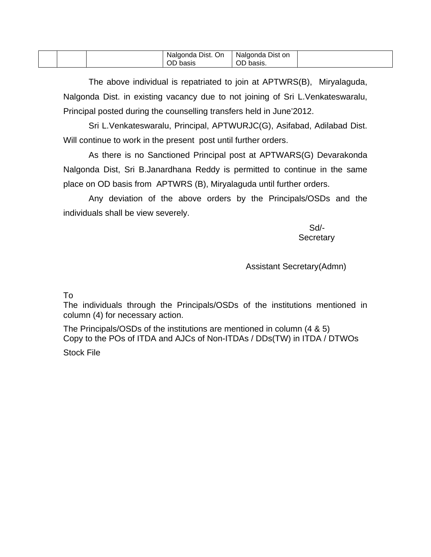|  |  |  | Dist.<br>. On<br>Naldonda<br>basis<br>ັບ | <b>Nalgo</b><br>Dist on<br><b>Ildonda</b><br>.001<br>UD<br>uasis. |  |
|--|--|--|------------------------------------------|-------------------------------------------------------------------|--|
|--|--|--|------------------------------------------|-------------------------------------------------------------------|--|

 The above individual is repatriated to join at APTWRS(B), Miryalaguda, Nalgonda Dist. in existing vacancy due to not joining of Sri L.Venkateswaralu, Principal posted during the counselling transfers held in June'2012.

 Sri L.Venkateswaralu, Principal, APTWURJC(G), Asifabad, Adilabad Dist. Will continue to work in the present post until further orders.

 As there is no Sanctioned Principal post at APTWARS(G) Devarakonda Nalgonda Dist, Sri B.Janardhana Reddy is permitted to continue in the same place on OD basis from APTWRS (B), Miryalaguda until further orders.

 Any deviation of the above orders by the Principals/OSDs and the individuals shall be view severely.

 Sd/- **Secretary** 

Assistant Secretary(Admn)

# To

The individuals through the Principals/OSDs of the institutions mentioned in column (4) for necessary action.

The Principals/OSDs of the institutions are mentioned in column (4 & 5) Copy to the POs of ITDA and AJCs of Non-ITDAs / DDs(TW) in ITDA / DTWOs Stock File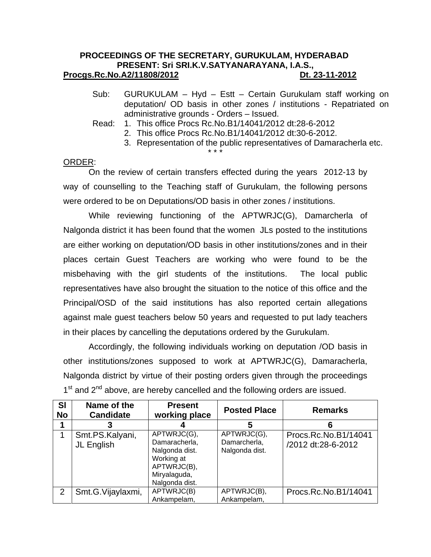# **PROCEEDINGS OF THE SECRETARY, GURUKULAM, HYDERABAD PRESENT: Sri SRI.K.V.SATYANARAYANA, I.A.S., Procgs.Rc.No.A2/11808/2012 Dt. 23-11-2012**

- Sub: GURUKULAM Hyd Estt Certain Gurukulam staff working on deputation/ OD basis in other zones / institutions - Repatriated on administrative grounds - Orders – Issued.
- Read: 1. This office Procs Rc.No.B1/14041/2012 dt:28-6-2012

\* \* \*

- 2. This office Procs Rc.No.B1/14041/2012 dt:30-6-2012.
	- 3. Representation of the public representatives of Damaracherla etc.

# ORDER:

 On the review of certain transfers effected during the years 2012-13 by way of counselling to the Teaching staff of Gurukulam, the following persons were ordered to be on Deputations/OD basis in other zones / institutions.

 While reviewing functioning of the APTWRJC(G), Damarcherla of Nalgonda district it has been found that the women JLs posted to the institutions are either working on deputation/OD basis in other institutions/zones and in their places certain Guest Teachers are working who were found to be the misbehaving with the girl students of the institutions. The local public representatives have also brought the situation to the notice of this office and the Principal/OSD of the said institutions has also reported certain allegations against male guest teachers below 50 years and requested to put lady teachers in their places by cancelling the deputations ordered by the Gurukulam.

 Accordingly, the following individuals working on deputation /OD basis in other institutions/zones supposed to work at APTWRJC(G), Damaracherla, Nalgonda district by virtue of their posting orders given through the proceedings  $1<sup>st</sup>$  and  $2<sup>nd</sup>$  above, are hereby cancelled and the following orders are issued.

| <b>SI</b><br><b>No</b> | Name of the<br><b>Candidate</b> | <b>Present</b><br>working place                                                                               | <b>Posted Place</b>                           | <b>Remarks</b>                             |
|------------------------|---------------------------------|---------------------------------------------------------------------------------------------------------------|-----------------------------------------------|--------------------------------------------|
|                        |                                 |                                                                                                               | 5                                             |                                            |
|                        | Smt.PS.Kalyani,<br>JL English   | APTWRJC(G),<br>Damaracherla,<br>Nalgonda dist.<br>Working at<br>APTWRJC(B),<br>Miryalaguda,<br>Nalgonda dist. | APTWRJC(G),<br>Damarcherla,<br>Nalgonda dist. | Procs.Rc.No.B1/14041<br>/2012 dt:28-6-2012 |
| 2                      | Smt.G.Vijaylaxmi,               | APTWRJC(B)<br>Ankampelam,                                                                                     | APTWRJC(B),<br>Ankampelam,                    | Procs.Rc.No.B1/14041                       |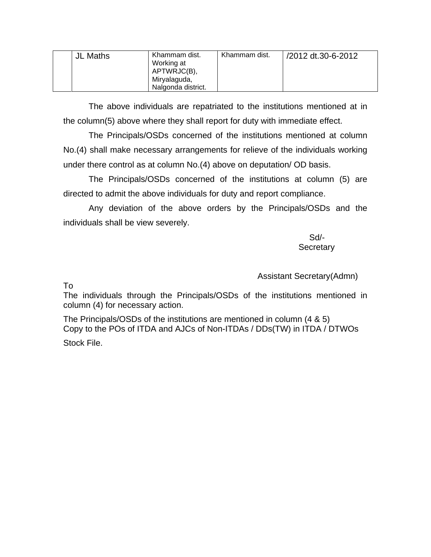| <b>JL Maths</b> | Khammam dist.<br>Working at<br>APTWRJC(B),<br>Miryalaguda,<br>Nalgonda district. | Khammam dist. | /2012 dt.30-6-2012 |
|-----------------|----------------------------------------------------------------------------------|---------------|--------------------|
|                 |                                                                                  |               |                    |

 The above individuals are repatriated to the institutions mentioned at in the column(5) above where they shall report for duty with immediate effect.

 The Principals/OSDs concerned of the institutions mentioned at column No.(4) shall make necessary arrangements for relieve of the individuals working under there control as at column No.(4) above on deputation/ OD basis.

 The Principals/OSDs concerned of the institutions at column (5) are directed to admit the above individuals for duty and report compliance.

 Any deviation of the above orders by the Principals/OSDs and the individuals shall be view severely.

 Sd/- **Secretary** 

Assistant Secretary(Admn)

To

The individuals through the Principals/OSDs of the institutions mentioned in column (4) for necessary action.

The Principals/OSDs of the institutions are mentioned in column (4 & 5) Copy to the POs of ITDA and AJCs of Non-ITDAs / DDs(TW) in ITDA / DTWOs

Stock File.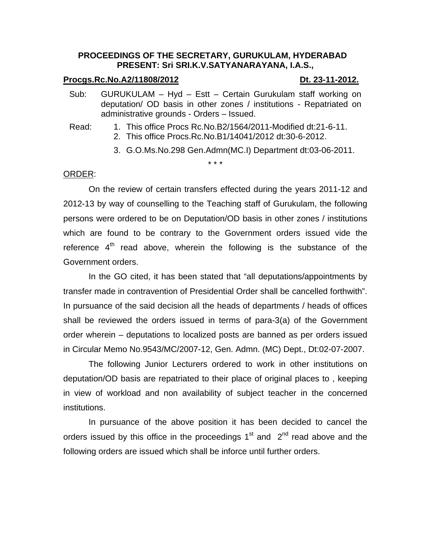# **PROCEEDINGS OF THE SECRETARY, GURUKULAM, HYDERABAD PRESENT: Sri SRI.K.V.SATYANARAYANA, I.A.S.,**

### **Procgs.Rc.No.A2/11808/2012 Dt. 23-11-2012.**

- Sub: GURUKULAM Hyd Estt Certain Gurukulam staff working on deputation/ OD basis in other zones / institutions - Repatriated on administrative grounds - Orders – Issued.
- Read: 1. This office Procs Rc.No.B2/1564/2011-Modified dt:21-6-11.
	- 2. This office Procs.Rc.No.B1/14041/2012 dt:30-6-2012.

\* \* \*

3. G.O.Ms.No.298 Gen.Admn(MC.I) Department dt:03-06-2011.

# ORDER:

 On the review of certain transfers effected during the years 2011-12 and 2012-13 by way of counselling to the Teaching staff of Gurukulam, the following persons were ordered to be on Deputation/OD basis in other zones / institutions which are found to be contrary to the Government orders issued vide the reference  $4<sup>th</sup>$  read above, wherein the following is the substance of the Government orders.

 In the GO cited, it has been stated that "all deputations/appointments by transfer made in contravention of Presidential Order shall be cancelled forthwith". In pursuance of the said decision all the heads of departments / heads of offices shall be reviewed the orders issued in terms of para-3(a) of the Government order wherein – deputations to localized posts are banned as per orders issued in Circular Memo No.9543/MC/2007-12, Gen. Admn. (MC) Dept., Dt:02-07-2007.

 The following Junior Lecturers ordered to work in other institutions on deputation/OD basis are repatriated to their place of original places to , keeping in view of workload and non availability of subject teacher in the concerned institutions.

 In pursuance of the above position it has been decided to cancel the orders issued by this office in the proceedings  $1<sup>st</sup>$  and  $2<sup>nd</sup>$  read above and the following orders are issued which shall be inforce until further orders.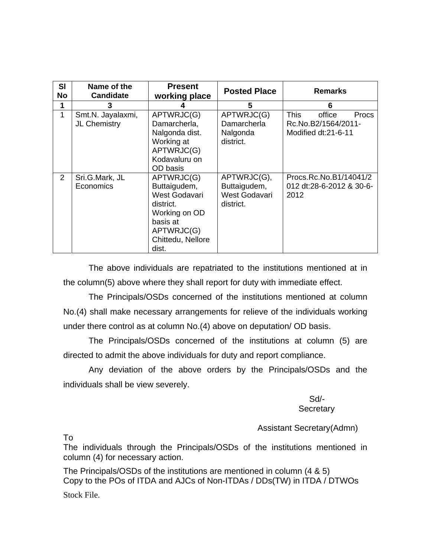| SI<br><b>No</b> | Name of the<br><b>Candidate</b>   | <b>Present</b><br>working place                                                                                                   | <b>Posted Place</b>                                       | <b>Remarks</b>                                                                      |
|-----------------|-----------------------------------|-----------------------------------------------------------------------------------------------------------------------------------|-----------------------------------------------------------|-------------------------------------------------------------------------------------|
| 1               | 3                                 |                                                                                                                                   | 5                                                         | 6                                                                                   |
| 1               | Smt.N. Jayalaxmi,<br>JL Chemistry | APTWRJC(G)<br>Damarcherla,<br>Nalgonda dist.<br>Working at<br>APTWRJC(G)<br>Kodavaluru on<br>OD basis                             | APTWRJC(G)<br>Damarcherla<br>Nalgonda<br>district.        | <b>This</b><br>office<br><b>Procs</b><br>Rc.No.B2/1564/2011-<br>Modified dt:21-6-11 |
| 2               | Sri.G.Mark, JL<br>Economics       | APTWRJC(G)<br>Buttaigudem,<br>West Godavari<br>district.<br>Working on OD<br>basis at<br>APTWRJC(G)<br>Chittedu, Nellore<br>dist. | APTWRJC(G),<br>Buttaigudem,<br>West Godavari<br>district. | Procs.Rc.No.B1/14041/2<br>012 dt:28-6-2012 & 30-6-<br>2012                          |

 The above individuals are repatriated to the institutions mentioned at in the column(5) above where they shall report for duty with immediate effect.

 The Principals/OSDs concerned of the institutions mentioned at column No.(4) shall make necessary arrangements for relieve of the individuals working under there control as at column No.(4) above on deputation/ OD basis.

 The Principals/OSDs concerned of the institutions at column (5) are directed to admit the above individuals for duty and report compliance.

 Any deviation of the above orders by the Principals/OSDs and the individuals shall be view severely.

 Sd/- **Secretary** 

Assistant Secretary(Admn)

To

The individuals through the Principals/OSDs of the institutions mentioned in column (4) for necessary action.

The Principals/OSDs of the institutions are mentioned in column (4 & 5) Copy to the POs of ITDA and AJCs of Non-ITDAs / DDs(TW) in ITDA / DTWOs Stock File.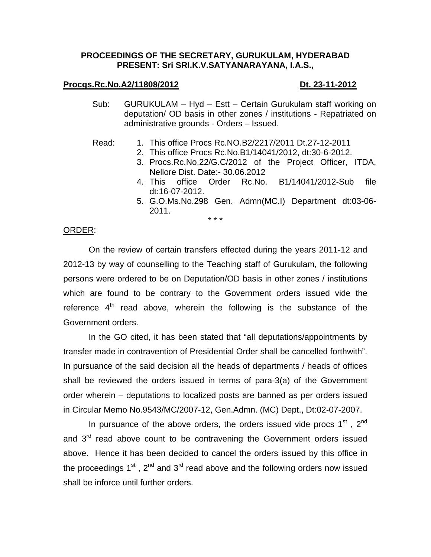### **PROCEEDINGS OF THE SECRETARY, GURUKULAM, HYDERABAD PRESENT: Sri SRI.K.V.SATYANARAYANA, I.A.S.,**

### **Procgs.Rc.No.A2/11808/2012** Dt. 23-11-2012

Sub: GURUKULAM – Hyd – Estt – Certain Gurukulam staff working on deputation/ OD basis in other zones / institutions - Repatriated on administrative grounds - Orders – Issued.

### Read: 1. This office Procs Rc.NO.B2/2217/2011 Dt.27-12-2011

- 2. This office Procs Rc.No.B1/14041/2012, dt:30-6-2012.
	- 3. Procs.Rc.No.22/G.C/2012 of the Project Officer, ITDA, Nellore Dist. Date:- 30.06.2012
	- 4. This office Order Rc.No. B1/14041/2012-Sub file dt:16-07-2012.
	- 5. G.O.Ms.No.298 Gen. Admn(MC.I) Department dt:03-06- 2011.

### \* \* \*

### ORDER:

 On the review of certain transfers effected during the years 2011-12 and 2012-13 by way of counselling to the Teaching staff of Gurukulam, the following persons were ordered to be on Deputation/OD basis in other zones / institutions which are found to be contrary to the Government orders issued vide the reference  $4<sup>th</sup>$  read above, wherein the following is the substance of the Government orders.

 In the GO cited, it has been stated that "all deputations/appointments by transfer made in contravention of Presidential Order shall be cancelled forthwith". In pursuance of the said decision all the heads of departments / heads of offices shall be reviewed the orders issued in terms of para-3(a) of the Government order wherein – deputations to localized posts are banned as per orders issued in Circular Memo No.9543/MC/2007-12, Gen.Admn. (MC) Dept., Dt:02-07-2007.

In pursuance of the above orders, the orders issued vide procs  $1<sup>st</sup>$ ,  $2<sup>nd</sup>$ and  $3<sup>rd</sup>$  read above count to be contravening the Government orders issued above. Hence it has been decided to cancel the orders issued by this office in the proceedings  $1^{st}$ ,  $2^{nd}$  and  $3^{rd}$  read above and the following orders now issued shall be inforce until further orders.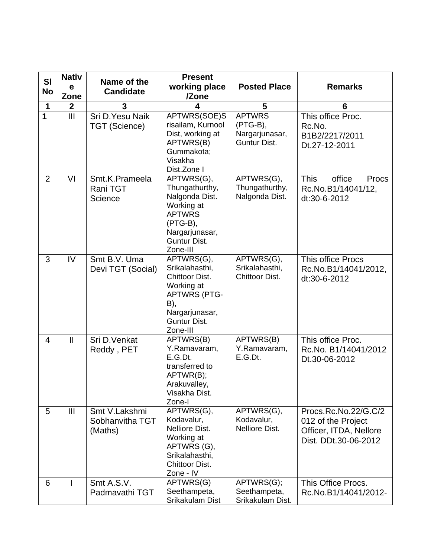| <b>SI</b>      | <b>Nativ</b><br>е | Name of the                                 | <b>Present</b><br>working place                                                                                                                 | <b>Posted Place</b>                                           | <b>Remarks</b>                                                                               |
|----------------|-------------------|---------------------------------------------|-------------------------------------------------------------------------------------------------------------------------------------------------|---------------------------------------------------------------|----------------------------------------------------------------------------------------------|
| <b>No</b>      | Zone              | <b>Candidate</b>                            | /Zone                                                                                                                                           |                                                               |                                                                                              |
| 1              | $\mathbf{2}$      | 3                                           | 4                                                                                                                                               | 5                                                             | $6\phantom{1}6$                                                                              |
| $\mathbf 1$    | III               | Sri D. Yesu Naik<br><b>TGT (Science)</b>    | APTWRS(SOE)S<br>risailam, Kurnool<br>Dist, working at<br>APTWRS(B)<br>Gummakota;<br>Visakha<br>Dist.Zone I                                      | <b>APTWRS</b><br>$(PTG-B),$<br>Nargarjunasar,<br>Guntur Dist. | This office Proc.<br>Rc.No.<br>B1B2/2217/2011<br>Dt.27-12-2011                               |
| $\overline{2}$ | VI                | Smt.K.Prameela<br>Rani TGT<br>Science       | APTWRS(G),<br>Thungathurthy,<br>Nalgonda Dist.<br>Working at<br><b>APTWRS</b><br>(PTG-B),<br>Nargarjunasar,<br>Guntur Dist.<br>Zone-III         | APTWRS(G),<br>Thungathurthy,<br>Nalgonda Dist.                | <b>This</b><br>office<br>Procs<br>Rc.No.B1/14041/12,<br>dt:30-6-2012                         |
| 3              | IV                | Smt B.V. Uma<br>Devi TGT (Social)           | APTWRS(G),<br>Srikalahasthi,<br>Chittoor Dist.<br>Working at<br><b>APTWRS (PTG-</b><br>B),<br>Nargarjunasar,<br><b>Guntur Dist.</b><br>Zone-III | APTWRS(G),<br>Srikalahasthi,<br>Chittoor Dist.                | This office Procs<br>Rc.No.B1/14041/2012,<br>dt:30-6-2012                                    |
| 4              | $\mathbf{I}$      | Sri D.Venkat<br>Reddy, PET                  | APTWRS(B)<br>Y.Ramavaram,<br>E.G.Dt.<br>transferred to<br>APTWR(B);<br>Arakuvalley,<br>Visakha Dist.<br>Zone-I                                  | APTWRS(B)<br>Y.Ramavaram,<br>E.G.Dt.                          | This office Proc.<br>Rc.No. B1/14041/2012<br>Dt.30-06-2012                                   |
| 5              | $\mathbf{III}$    | Smt V.Lakshmi<br>Sobhanvitha TGT<br>(Maths) | APTWRS(G),<br>Kodavalur,<br>Nelliore Dist.<br>Working at<br>APTWRS (G),<br>Srikalahasthi,<br>Chittoor Dist.<br>Zone - IV                        | APTWRS(G),<br>Kodavalur,<br>Nelliore Dist.                    | Procs.Rc.No.22/G.C/2<br>012 of the Project<br>Officer, ITDA, Nellore<br>Dist. DDt.30-06-2012 |
| 6              |                   | Smt A.S.V.<br>Padmavathi TGT                | APTWRS(G)<br>Seethampeta,<br>Srikakulam Dist                                                                                                    | APTWRS(G);<br>Seethampeta,<br>Srikakulam Dist.                | This Office Procs.<br>Rc.No.B1/14041/2012-                                                   |